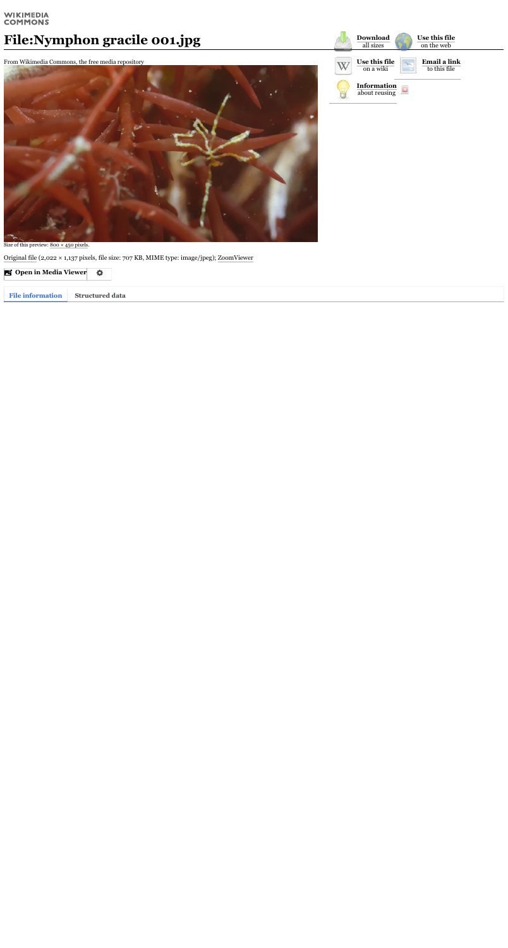### WIKIMEDIA **COMMONS**

# **File:Nymphon gracile 001.jpg**

From Wikimedia Commons, the free media repository



Size of this preview:  $800 \times 450$  [pixels.](https://upload.wikimedia.org/wikipedia/commons/thumb/1/11/Nymphon_gracile_001.jpg/800px-Nymphon_gracile_001.jpg)

[Original](https://upload.wikimedia.org/wikipedia/commons/1/11/Nymphon_gracile_001.jpg) file (2,022 × 1,137 pixels, file size: 707 KB, MIME type: image/jpeg); [ZoomViewer](https://zoomviewer.toolforge.org/index.php?f=Nymphon%20gracile%20001.jpg&flash=no)

**Open in Media [Viewer](https://upload.wikimedia.org/wikipedia/commons/1/11/Nymphon_gracile_001.jpg)**  $\ddot{\mathbf{Q}}$ 

| <b>Download</b><br>all sizes        | Use this file<br>on the web         |  |
|-------------------------------------|-------------------------------------|--|
| Use this file<br>on a wiki          | <b>Email a link</b><br>to this file |  |
| <b>Information</b><br>about reusing |                                     |  |

**File information Structured data**